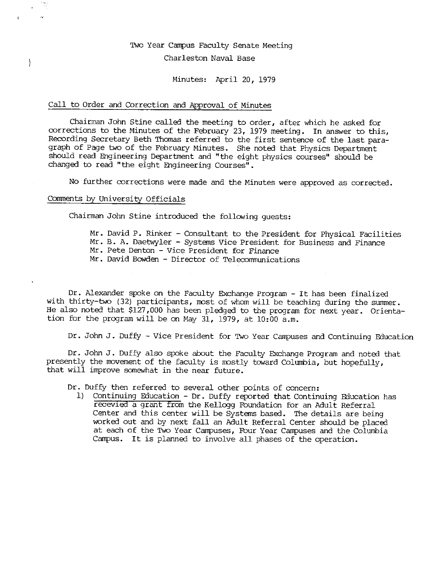# Two Year Campus Faculty Senate Meeting

# Charleston Naval Base

Minutes: April 20, 1979

# Call to Order and Correction and Approval of Minutes

Chairman John Stine called the meeting to order, after which he asked for corrections to the Minutes of the February 23, 1979 meeting. In answer to this, Recording Secretary Beth Thomas referred to the first sentence of the last paragraph of Page two of the February Minutes. She noted that Physics Department should read Engineering Department and "the eight physics courses" should be changed to read "the eight Engineering Courses".

No further corrections were made and the Minutes were approved as corrected.

#### Comments by University Officials

 $\Big\}$ 

Chairman John Stine introduced the following guests:

Mr. David P. Rinker - Consultant to the President for Physical Facilities Mr. B. A. Daetwyler - Systems Vice President for Business and Finance Mr. Pete Denton - Vice President for Finance Mr. David Bowden - Director of Telecommunications

Dr. Alexander spoke on the Faculty Exchange Program - It has been finalized with thirty-two (32) participants, most of whom will be teaching during the summer. He also noted that \$127,000 has been pledged to the program for next year. Orientation for the program will be on May 31, 1979, at 10:00 a.m.

Dr. John J. Duffy - Vice President for Two Year Campuses and Continuing Education

Dr. John J. Duffy also spoke about the Faculty Exchange Program and noted that presently the movement of the faculty is mostly toward Columbia, but hopefully, that will improve somewhat in the near future.

Dr. Duffy then referred to several other points of concern:

1) Continuing Education - Dr. Duffy reported that Continuing Education has recevied a grant from the Kellogg Foundation for an Adult Referral Center and this center will be Systems based. The details are being worked out and by next fall an Adult Referral Center should be placed at each of the Two Year Campuses, Fbur Year Campuses and the Columbia Campus. It is planned to involve all phases of the operation.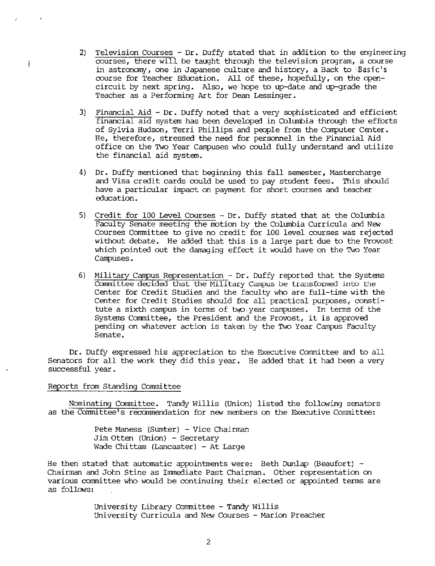- 2) Television Courses Dr. Duffy stated that in addition to the engineering courses, there wili be taught through the television program, a course in astronomy, one in Japanese culture and history, a Back to 'Basic's course for Teacher Education. All of these, hopefully, on the opencircuit by next spring. Also, we hope to up-date and up-grade the Teacher as a Performing Art for Dean Lessinger.
- 3) Financial Aid Dr. Duffy noted that a very sophisticated and efficient financial aid systen has been developed in Columbia through the efforts of Sylvia Hudson, Terri Phillips and people from the Computer Center. He, therefore, stressed the need for personnel in the Financial Aid office on the Two Year Campuses who could fully understand and utilize the financial aid systen.
- 4) Dr. Duffy mentioned that beginning this fall senester, Mastercharge and Visa credit cards could be used to pay student fees. This should have a particular impact on payment for short courses and teacher education.
- 5) Credit for 100 Level Courses Dr. Duffy stated that at the Columbia Faculty Senate meeting the motion by the Columbia Curricula and New Courses Committee to give no credit for 100 level courses was rejected without debate. He added that this is a large part due to the Provost which pointed out the damaging effect it would have on the Two Year Campuses.
- 6) Military Campus Representation Dr. Duffy reported that the Systens Committee decided that the Military Campus be transformed into the Center for Credit Studies and the faculty who are full-time with the Center for Credit Studies should for all practical purposes, constitute a sixth campus in terms of two year campuses. In terms of the Systens Committee, the President and the Provost, it is approved pending on whatever action is taken by the Two Year Campus Faculty Senate.

Dr. Duffy expressed his appreciation to the Executive Committee and to all Senators for all the work they did this year. He added that it had been a very successful year.

## Reports from Standing Committee

ł

Nominating Committee. Tandy Willis (Union) listed the follaving senators as the Committee's recommendation for new members on the Executive Committee:

> Pete Maness (Sumter) - Vice Chairman Jim Otten (Union) - Secretary Wade Chittam (Lancaster) - At Large

He then stated that automatic appointments were: Beth Dunlap (Beaufort) -Chairman and John Stine as Immediate Past Chairman. Other representation on various committee who would be continuing their elected or appointed terms are as follavs:

> University Library Committee - Tandy Willis University Curricula and New Courses - Marion Preacher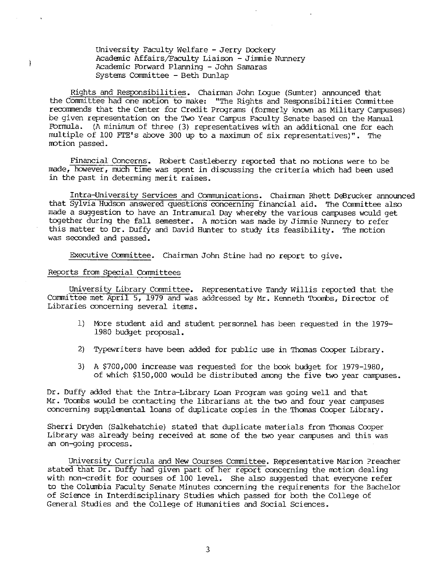University Faculty Welfare - Jerry Dockery Academic Affairs/Faculty Liaison - Jimmie Nunnery Academic Forward Planning - John Samaras Systems Committee - Beth Dunlap

Rights and Responsibilities. Chairman John Logue (Sumter) announced that the Committee had one motion to make: "The Rights and Responsibilities Conmittee recommends that the Center for Credit Programs (formerly known as Military Campuses) be given representation on the Two Year Campus Faculty Senate based on the Manual Formula. (A minimum of three (3) representatives with an additional one for each multiple of 100 FTE's above 300 up to a maximum of six representatives)". The motion passed.

Financial Concerns. Robert Castleberry reported that no motions were to be made, however, much time was spent in discussing the criteria which had been used in the past in determing merit raises.

Intra-University Services and Communications. Chairman Rhett DeBrucker announced that Sylvia Hudson answered questions concerning financial aid. The Committee also made a suggestion to have an Intramural Day whereby the various campuses would get together during the fall semester. A motion was made by Jimmie Nunnery to refer this matter to Dr. Duffy and David Hunter to study its feasibility. The motion was seconded and passed.

Executive Committee. Chairman John Stine had no report to give.

# Reports from Special Committees

Ì

University Library Committee. Representative Tandy Willis reported that the Committee met April 5, 1979 and was addressed by Mr. Kenneth Toombs, Director of Libraries concerning several items.

- 1) More student aid and student personnel has been requested in the 1979- 1980 budget proposal.
- 2) Typewriters have been added for public use in Thomas Cooper Library.
- 3) A \$700,000 increase was requested for the book budget for 1979-1980, of which  $$150,000$  would be distributed among the five two year campuses.

Dr. Duffy added that the Intra-Library Loan Program was going well and that Mr. Toombs would be contacting the librarians at the two and four year campuses concerning supplemental loans of duplicate copies in the Thomas Cooper Library.

Sherri Dryden (Salkehatchie) stated that duplicate materials from Thomas Cooper Library was already being received at some of the two year campuses and this was an on-going process.

University Curricula and New Courses Corrmittee. Representative Marion Preacher stated that Dr. Duffy had given part of her report concerning the motion dealing with non-credit for courses of 100 level. She also suggested that everyone refer to the Columbia Faculty Senate Minutes concerning the requirements for the Bachelor of Science in Interdisciplinary Studies which passed for both the College of General Studies and the College of Humanities and Social Sciences.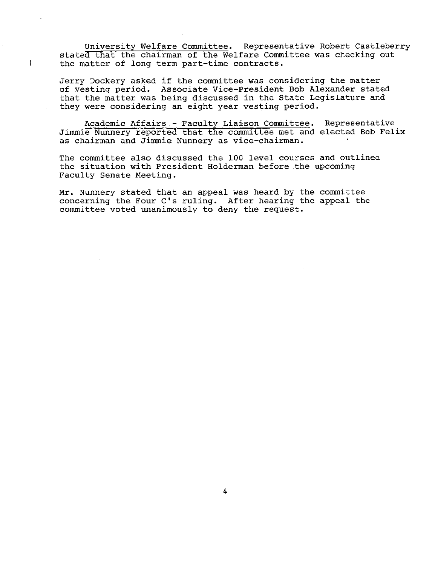University Welfare Committee. Representative Robert Castleberry stated that the chairman of the Welfare Committee was checking out the matter of long term part-time contracts.

Jerry Dockery asked if the committee was considering the matter of vesting period. Associate Vice-President Bob Alexander stated that the matter was being discussed in the State Legislature and they were considering an eight year vesting period.

Academic.Affairs - Faculty Liaison Committee. Representative Jimmie Nunnery reported that the committee met and elected Bob Felix as chairman and Jimmie Nunnery as vice-chairman.

The committee also discussed the 100 level courses and outlined the situation with President Holderman before the upcoming Faculty Senate Meeting.

Mr. Nunnery stated that an appeal was heard by the committee concerning the Four C's ruling. After hearing the appeal the committee voted unanimously to deny the request.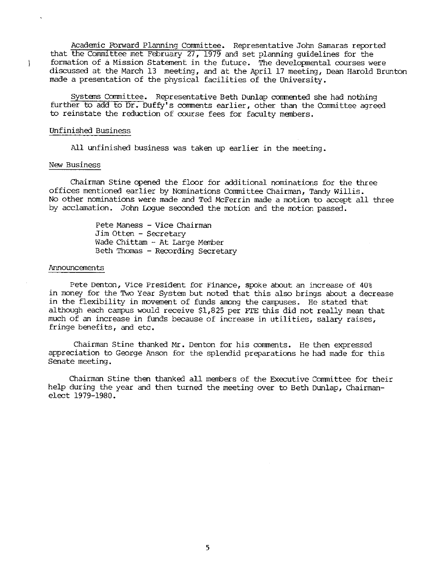Acadenic Fbrward Planning Committee. Representative John Samaras reported that the Committee met February 27, 1979 and set planning guidelines for the formation of a Mission Statement in the future. The developmental courses were discussed at the March 13 meeting, and at the April 17 meeting, Dean Harold Brunton made a presentation of the physical facilities of the University.

Systems Committee. Representative Beth Dunlap commented she had nothing further to add to Dr. Duffy's comments earlier, other than the Committee agreed to reinstate the reduction of course fees for faculty members.

### Unfinished Business

All unfinished business was taken up earlier in the meeting.

### New Business

ţ

Chairman Stine opened the floor for additional nominations for the three offices mentioned earlier by Nominations Committee Chairman, Tandy Willis. No other nominations were made and Ted McFerrin made a motion to accept all three by acclamation. John Logue seconded the motion and the motion passed.

> Pete Maness - Vice Chairman Jim Otten - Secretary Wade Chittam - At Large Member Beth Thomas - Recording Secretary

#### Announcenents

Pete Denton, Vice President for Finance, spoke about an increase of 40% in money for the Two Year System but noted that this also brings about a decrease in the flexibility in movement of funds among the campuses. He stated that although each campus would receive \$1,825 per FTE this did not really mean that much of an increase in funds because of increase in utilities, salary raises, fringe benefits, and etc.

Chairman Stine thanked Mr. Denton for his comments. He then expressed appreciation to George Anson for the splendid preparations he had made for this Senate meeting.

Chairman Stine then thanked all menbers of the Executive Committee for their help during the year and then turned the meeting over to Beth Dunlap, Chairmanelect 1979-1980.